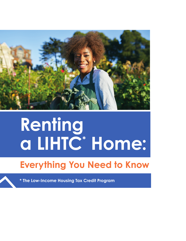

# **Renting a LIHTC\* Home:**

# **Everything You Need to Know**

**\* The Low-Income Housing Tax Credit Program**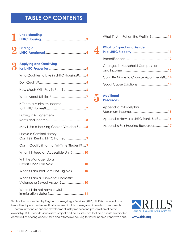# **TABLE OF CONTENTS**

| <b>Understanding</b>                                                  |
|-----------------------------------------------------------------------|
| <b>Finding a</b>                                                      |
| <b>Applying and Qualifying</b>                                        |
| Who Qualifies to Live in LIHTC Housing?5                              |
|                                                                       |
|                                                                       |
|                                                                       |
| Is There a Minimum Income                                             |
| Putting it All Together -                                             |
| May I Use a Housing Choice Voucher?  8                                |
| I Have a Criminal History.                                            |
| Can I Qualify if I am a Full-Time Student??                           |
| What if I Need an Accessible Unit? 10                                 |
| Will the Manager do a                                                 |
| What if I am Told I am Not Eligible?10                                |
| What if I am a Survivor of Domestic<br>Violence or Sexual Assault? 10 |
| What if I do not have lawful                                          |

What if I Am Put on the Waitlist?..................**11**

## **4 What to Expect as a Resident in a LIHTC Property**.........................................**11** Recertification................................................**12** Changes in Household Composition and Income ...................................................**13** Can I Be Made to Change Apartments?...**14** Good Cause Evictions ..................................**14**

# **5 Additional Resources** .......................................................**15** Appendix: Philadelphia Maximum Incomes........................................**15** Appendix: How are LIHTC Rents Set?..........**16** Appendix: Fair Housing Resources ..............**17**

This booklet was written by Regional Housing Legal Services (RHLS). RHLS is a nonprofit law firm with unique expertise in affordable, sustainable housing and its related components — community and economic development, utility matters and preservation of home ownership. RHLS provides innovative project and policy solutions that help create sustainable communities offering decent, safe and affordable housing for lower-income Pennsylvanians. **[www.rhls.org](http://www.rhls.org)**

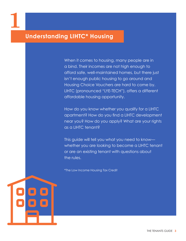# **1**

# **Understanding LIHTC\* Housing**

When it comes to housing, many people are in a bind. Their incomes are not high enough to afford safe, well-maintained homes, but there just isn't enough public housing to go around and Housing Choice Vouchers are hard to come by. LIHTC (pronounced "LYE-TECH"), offers a different affordable housing opportunity.

How do you know whether you qualify for a LIHTC apartment? How do you find a LIHTC development near you? How do you apply? What are your rights as a LIHTC tenant?

This guide will tell you what you need to know whether you are looking to become a LIHTC tenant or are an existing tenant with questions about the rules.

\*The Low Income Housing Tax Credit

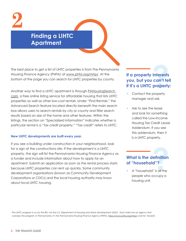**2**

# **Finding a LIHTC Apartment**

The best place to get a list of LIHTC properties is from The Pennsylvania Housing Finance Agency (PHFA)<sup>1</sup> at www.phfa.org/mhp/. At the bottom of the page you can search for LIHTC properties by county.

Another way to find a LIHTC apartment is through [PAHousingSearch.](https://www.pahousingsearch.com/) [com](https://www.pahousingsearch.com/), a free online listing service for affordable housing that lists LIHTC properties as well as other low-cost rentals. Under "Find Rentals," the Advanced Search feature located directly beneath the main search box allows users to search rentals by city or county and filter search results based on size of the home and other features. Within the listings, the section on "Specialized Information" indicates whether a particular rental is a "tax credit property." "Tax credit" refers to LIHTC.

#### **New LIHTC developments are built every year.**

If you see a building under construction in your neighborhood, look for a sign at the constructions site. If the development is a LIHTC property, the sign will list the Pennsylvania Housing Finance Agency as a funder and include information about how to apply for an apartment. Submit an application as soon as the rental process starts because LIHTC properties can rent up quickly. Some community development organizations (known as Community Development Corporations or CDCs) and the local housing authority may know about local LIHTC housing.

# **<br>If a property interests<br>you, but you can't tell<br>if it's a LIHTC property you, but you can't tell if it's a LIHTC property:**

- Contact the property manager and ask.
- Ask to see the lease and look for something called the Low-Income Housing Tax Credit Lease Addendum. If you see this addendum, then it is a LIHTC property.

## **? What is the definition of "household"?**

• A "household" is all the people who occupy a housing unit.

<sup>1</sup>The LIHTC program is run by the IRS, not the U.S. Department of Housing and Urban Development (HUD). Each state has an agency that oversees the program. In Pennsylvania, it's the Pennsylvania Housing Finance Agency (PHFA).<https://www.phfa.org/mhp/> Look for 'Awards'.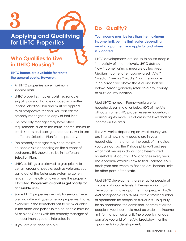

**Applying and Qualifying for LIHTC Properties**

## **Who Qualifies to Live in LIHTC Housing?**

#### **LIHTC homes are available for rent to the general public. However:**

- All LIHTC properties have maximum income limits.
- LIHTC properties may establish reasonable eligibility criteria that are included in a written Tenant Selection Plan and must be applied to all prospective tenants. You can ask the property manager for a copy of that Plan.
- The property manager may have other requirements, such as minimum income, minimum credit scores and background checks. Ask to see the Tenant Selection Plan for the property.
- The property manager may set a maximum household size depending on the number of bedrooms. This should also be in the Tenant Selection Plan.
- LIHTC buildings are allowed to give priority to certain groups of people, such as veterans, youth aging out of the foster care system or current residents of the city or town where the property is located. **People with disabilities get priority for accessible units**.
- Some LIHTC properties are only for seniors. There are two different types of senior properties. In one, everyone in the household has to be 62 or older. In the other, one person in the household must be 55 or older. Check with the property manager of the apartments you are interested in.

# **Do I Qualify?**

**Your income must be less than the maximum income limit, but the limit varies depending on what apartment you apply for and where it is located.**

LIHTC developments are set up to house people in a variety of income levels. LIHTC defines "low-income" using a measure called Area Median Income, often abbreviated "AMI." "Median" means "middle;" half the incomes in an "area" are above the AMI and half are below. "Area" generally refers to a city, county or multi-county location.

Most LIHTC homes in Pennsylvania are for households earning at or below 60% of the AMI, although some LIHTC properties serve households earning slightly more. But all are in the lower half of incomes in the area.

The AMI varies depending on what county you are in and how many people are in your household. In the chart at the back of this guide, you can look up the Philadelphia AMI and see what that means in dollars for different-sized households. A county's AMI changes every year. The Appendix explains how to find updated AMIs each year and where to find the AMI income limits for other parts of the state.

Most LIHTC developments are set up for people at a variety of income levels. In Pennsylvania, most developments have apartments for people at 60% AMI or for people at 50% AMI, with a smaller number of apartments for people at 40% or 20%. To qualify for an apartment, the combined incomes of all the people in your household must be under the income limit for that particular unit. The property manager can give you a list of the AMI breakdown for the apartments in a development.

• If you are a student, see p. 9.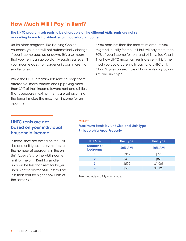# **How Much Will I Pay in Rent?**

### **The LIHTC program sets rents to be affordable at the different AMIs; rents are not set according to each individual tenant household's income.**

Unlike other programs, like Housing Choice Vouchers, your rent will not automatically change if your income goes up or down. This also means that your rent can go up slightly each year even if your income does not. Larger units cost more than smaller ones.

While the LIHTC program sets rents to keep them affordable, many families end up paying more than 30% of their income toward rent and utilities. That's because maximum rents are set assuming the tenant makes the maximum income for an apartment.

If you earn less than the maximum amount you might still qualify for the unit but will pay more than 30% of your income for rent and utilities. See Chart 1 for how LIHTC maximum rents are set – this is the most you could potentially pay for a LIHTC unit. Chart 2 gives an example of how rents vary by unit size and unit type.

## **LIHTC rents are not based on your individual household income.**

Instead, they are based on the unit size and unit type. Unit size refers to the number of bedrooms in the unit. Unit type refers to the AMI income limit for the unit. Rent for smaller units will be less than rent for larger units. Rent for lower AMI units will be less than rent for higher AMI units of the same size.

#### **CHART 1**

## **Maximum Rents by Unit Size and Unit Type – Philadelphia Area Property**

| <b>Unit Size</b>      | <b>Unit Type</b> | <b>Unit Type</b> |
|-----------------------|------------------|------------------|
| Number of<br>bedrooms | <b>20% AMI</b>   | <b>40% AMI</b>   |
|                       | \$362            | \$725            |
| 2                     | \$435            | \$870            |
| 3                     | \$502            | \$1,005          |
|                       | \$560            | \$1,121          |

Rents include a utility allowance.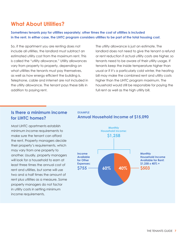# **What About Utilities?**

**Sometimes tenants pay for utilities separately; other times the cost of utilities is included in the rent. In either case, the LIHTC program considers utilities to be part of the total housing cost.**

So, if the apartment you are renting does not include all utilities, the landlord must subtract an estimated utility cost from the maximum rent. This is called the "utility allowance." Utility allowances vary from property to property, depending on what utilities the tenants must pay themselves, as well as how energy efficient the building is. Telephone, cable and internet are not included in the utility allowance. The tenant pays these bills in addition to paying rent.

The utility allowance is just an estimate. The landlord does not need to give the tenant a refund or rent reduction if actual utility costs are higher, so tenants need to be aware of their utility usage. If tenants keep the inside temperature higher than usual or if it's a particularly cold winter, the heating bill may make the combined rent and utility costs higher than the LIHTC program maximum. The household would still be responsible for paying the full rent as well as the high utility bill.

## **Is there a minimum income for LIHTC homes?**

Most LIHTC apartments establish minimum income requirements to make sure the tenant can afford the rent. Property managers decide their property's requirements, which may vary from one property to another. Usually, property managers will look for a household to earn at least three times the annual cost of rent and utilities, but some will use two and a half times the amount of rent plus utilities as a measure. Some property managers do not factor in utility costs in setting minimum income requirements.



#### **EXAMPLE Annual Household Income of \$15,090**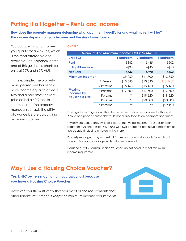# **Putting it all together – Rents and Income**

**How does the property manager determine what apartment I qualify for and what my rent will be? The answer depends on your income and the size of your family.**

You can use this chart to see if you qualify for a 20% unit, which is the most affordable one available. The Appendix at the end of this guide has charts for units at 50% and 60% AMI.

In this example, the property manager requires households have income equal to at least two and a half times the rent (also called a 40% rent-toincome ratio). The property manager subtracts the utility allowance before calculating minimum incomes.

#### **CHART 2**

| <b>Minimum And Maximum Incomes FOR 20% AMI UNITS</b> |           |           |           |              |
|------------------------------------------------------|-----------|-----------|-----------|--------------|
| <b>UNIT SIZE</b>                                     |           | 1 Bedroom | 2 Bedroom | 3 Bedroom    |
| Rent                                                 |           | \$362     | \$435     | \$502        |
| <b>Utility Allowance</b>                             |           | $-$ \$30  | $-$ \$45  | $-$ \$50     |
| <b>Net Rent</b>                                      |           | \$332     | \$390     | <b>\$452</b> |
| <b>Minimum Income*</b>                               |           | \$9,960   | \$11,700  | \$13,560     |
|                                                      | 1 Person  | \$13,540  | \$13,540  | $$13,540*$   |
|                                                      | 2 Persons | \$15,460  | \$15,460  | \$15,460     |
| <b>Maximum</b><br>Incomes by                         | 3 Persons | \$17,400  | \$17,400  | \$17,400     |
| <b>Household Size</b>                                | 4 Persons | $**$      | \$19,320  | \$19,320     |
|                                                      | 5 Persons | $**$      | \$20,880  | \$20,880     |
|                                                      | 6 Persons | $**$      | $**$      | \$22,420     |

\*The figure in orange shows that the household's income is too low for that unit. Also, a one-person household would not qualify for a three-bedroom apartment.

\*\*Maximum occupancy limits also apply. The typical maximum is 2 persons per bedroom plus one person. So, a unit with two bedrooms can have a maximum of five people (including children) living there.

Property managers may also set minimum occupancy standards for each unit type or give priority for larger units to larger households.

Households with Housing Choice Vouchers do not need to meet minimum income requirements.

# **May I Use a Housing Choice Voucher?**

## **Yes. LIHTC owners may not turn you away just because you have a Housing Choice Voucher.**

However, you still must verify that you meet all the requirements that other tenants must meet, **except** the minimum income requirements.

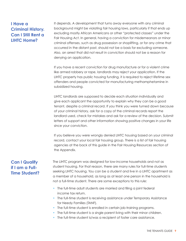## **I Have a Criminal History. Can I Still Rent a LIHTC Home?**

It depends. A development that turns away everyone with any criminal background might be violating fair housing laws, particularly if that ends up excluding mostly African Americans or other "protected classes" under the Fair Housing Act. In general, having a conviction for misdemeanors or minor criminal offenses, such as drug possession or shoplifting, or for any crime that occurred in the distant past, should not be a basis for excluding someone. Also, an arrest that did not result in conviction should not be a reason for denying an application.

If you have a recent conviction for drug manufacture or for a violent crime like armed robbery or rape, landlords may reject your application. If the LIHTC property has public housing funding, it is required to reject lifetime sex offenders and people convicted for manufacturing methamphetamine in subsidized housing.

LIHTC landlords are supposed to decide each situation individually and give each applicant the opportunity to explain why they can be a good tenant, despite a criminal record. If you think you were turned down because of your criminal history, ask for a copy of the criminal records report the landlord used, check for mistakes and ask for a review of the decision. Submit letters of support and other information showing positive changes in your life since your conviction.

If you believe you were wrongly denied LIHTC housing based on your criminal record, contact your local fair housing group. There is a list of fair housing agencies at the back of this guide in the Fair Housing Resources section of the Appendix.

## **Can I Qualify if I am a Full-Time Student?**

The LIHTC program was designed for low-income households and not as student housing. For that reason, there are many rules for full-time students seeking LIHTC housing. You can be a student and live in a LIHTC apartment as a member of a household, as long as at least one person in the household is not a full-time student. There are some exceptions to this rule:

- The full-time adult students are married and filing a joint federal income tax return.
- The full-time student is receiving assistance under Temporary Assistance for Needy Families (TANF).
- The full-time student is enrolled in certain job-training programs.
- The full-time student is a single parent living with their minor children.
- The full-time student is/was a recipient of foster care assistance.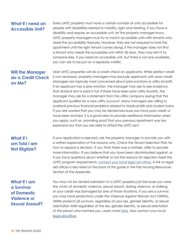## **What if I need an Accessible Unit?**

Every LIHTC property must have a certain number of units accessible for people with disabilities related to mobility, sight and hearing. If you have a disability and require an accessible unit, let the property manager know. LIHTC property managers must try to match accessible units with tenants who need the accessibility features. However, they are not required to hold the apartment until the right tenant comes along. If the manager does not find a tenant who needs the accessible unit within 30 days, they may rent it to someone else. If you need an accessible unit, but there is not one available, you can ask to be put on a separate waitlist.

## **Will the Manager do a Credit Check on Me?**

Most LIHTC properties will do a credit check on applicants. While perfect credit is not necessary, property managers may exclude applicants with poor credit. Managers are typically most concerned about prior evictions or utility shutoffs. If an applicant has a prior eviction, the manager may ask to see evidence that all back rent is paid in full. If there have been prior utility shutoffs, the manager may ask for a statement from the utility company saying that the applicant qualifies for a new utility account. Many managers are willing to overlook previous financial problems related to medical bills and student loans. If you are worried that you may be denied because you have poor credit or have been evicted, it is a good idea to provide additional information when you apply, such as providing proof that your previous apartment was too expensive but that you are able to afford the LIHTC rent.

## **What if I am Told I am Not Eligible?**

If your application is rejected, ask the property manager to provide you with a written explanation of the reasons why. Check the Tenant Selection Plan for how to appeal a decision. If you think there was a mistake, offer to provide more information. If you believe that you have been discriminated against, or if you have questions about whether or not the reasons for rejection meet the LIHTC program requirements, [contact your local legal aid office](https://palegalaid.net/legal-aid-providers-in-pa). A link to legal aid offices is also listed at the back of this guide in the Fair Housing Resources Section of the Appendix.

**What if I am a Survivor of Domestic Violence or Sexual Assault?** You may not be denied admission to a LIHTC property just because you were the victim of domestic violence, sexual assault, dating violence, or stalking, or your credit was damaged by one of those situations. If you are a survivor, you may have protections under the Violence Against Women Act (VAWA). VAWA protects all survivors, regardless of your sex, gender identity, or sexual orientation AND regardless of the sex, gender identity, or sexual orientation of the person who harmed you. Learn more [here.](https://www.vawahome.com/what-is-vawa) Also contact your local [legal aid office](https://palegalaid.net/legal-aid-providers-in-pa).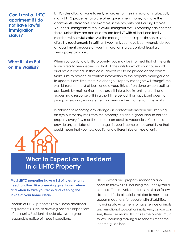## **Can I rent a LIHTC apartment if I do not have lawful immigration status?**

LIHTC rules allow anyone to rent, regardless of their immigration status. BUT, many LIHTC properties also use other government money to make the apartments affordable. For example, if the property has Housing Choice Vouchers, immigrants without lawful immigrant status probably can not rent there, unless they are part of a "mixed family" with at least one family member with lawful status. Ask the manager for their specific non-citizen eligibility requirements in writing. If you think you have been wrongly denied an apartment because of your immigration status, contact legal aid (www.palegalaid.net).

## **What if I Am Put on the Waitlist?**

**4**

When you apply to a LIHTC property, you may be informed that all the units have already been leased or that all the units for which your household qualifies are leased. In that case, always ask to be placed on the waitlist. Make sure to provide all contact information to the property manager and to update it any time there is a change. Property managers will "purge" the waitlist (drop names) at least once a year. This is often done by contacting applicants by mail, asking if they are still interested in renting a unit and requesting a response within a short time period. If an applicant does not promptly respond, management will remove their name from the waitlist.

In addition to reporting any changes in contact information and keeping an eye out for any mail from the property, it's also a good idea to call the property every few months to check on possible vacancies. You should provide any updates about changes in your income or household size that could mean that you now qualify for a different size or type of unit.

# **What to Expect as a Resident in a LIHTC Property**

**Most LIHTC properties have a list of rules tenants need to follow, like observing quiet hours, where and when to take your trash and keeping the inside of your home clean.** 

Tenants of LIHTC properties have some additional requirements, such as allowing periodic inspections of their units. Residents should always be given reasonable notice of these inspections.

LIHTC owners and property managers also need to follow rules, including the Pennsylvania Landlord Tenant Act. Landlords must also follow state and federal policies related to reasonable accommodations for people with disabilities, including allowing them to have service animals and emotional support animals. And, as you can see, there are many LIHTC rules the owners must follow, including making sure tenants meet the income guidelines.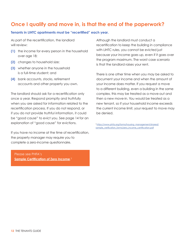## **Once I qualify and move in, is that the end of the paperwork?**

#### **Tenants in LIHTC apartments must be "recertified" each year.**

As part of the recertification, the landlord will review:

- **(1)** the income for every person in the household over age 18;
- **(2)** changes to household size;
- **(3)** whether anyone in the household is a full-time student; and
- **(4)** bank accounts, stocks, retirement accounts and other property you own.

The landlord should ask for a recertification only once a year. Respond promptly and truthfully when you are asked for information related to the recertification process. If you do not respond, or if you do not provide truthful information, it could be "good cause" to evict you. See page 14 for an explanation of "good cause" for evictions.

If you have no income at the time of recertification, the property manager may require you to complete a zero-income questionnaire.

Please see PHFA's **[Sample Certification of Zero Income](https://www.phfa.org/forms/housing_management/shared/sample_verification_forms/zero_income_certification.pdf)**. 2

Although the landlord must conduct a recertification to keep the building in compliance with LIHTC rules, you cannot be evicted just because your income goes up, even if it goes over the program maximum. The worst case scenario is that the landlord raises your rent.

There is one other time when you may be asked to document your income and when the amount of your income does matter. If you request a move to a different building, even a building in the same complex, this may be treated as a move-out and then a new move-in. You would be treated as a new tenant, so if your household income exceeds the current income limit, your request to move may be denied.

<sup>2</sup> [https://www.phfa.org/forms/housing\\_management/shared/](https://www.phfa.org/forms/housing_management/shared/sample_verification_forms/zero_income_certification.pdf) [sample\\_verification\\_forms/zero\\_income\\_certification.pdf](https://www.phfa.org/forms/housing_management/shared/sample_verification_forms/zero_income_certification.pdf)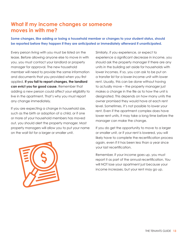## **What if my income changes or someone moves in with me?**

**Some changes, like adding or losing a household member or changes to your student status, should be reported before they happen if they are anticipated or immediately afterward if unanticipated.**

Every person living with you must be listed on the lease. Before allowing anyone else to move in with you, you must contact your landlord or property manager for approval. The new household member will need to provide the same information and documents that you provided when you first applied. **If you fail to report changes, the landlord can evict you for good cause.** Remember that adding a new person could affect your eligibility to live in the apartment. That's why you must report any change immediately.

If you are expecting a change in household size, such as the birth or adoption of a child, or if one or more of your household members has moved out, you should alert the property manager. Most property managers will allow you to put your name on the wait list for a larger or smaller unit.



Similarly, if you experience, or expect to experience a significant decrease in income, you should ask the property manager if there are any units in the building set aside for households with lower incomes. If so, you can ask to be put on a transfer list for a lower-income unit with lower rent. Usually, this can be done without having to actually move – the property manager just makes a change in the file as to how the unit is designated. This depends on how many units the owner promised they would have at each rent level. Sometimes, it's not possible to lower your rent. Even if the apartment complex does have lower rent units, it may take a long time before the manager can make the change.

If you do get the opportunity to move to a larger or smaller unit, or if your rent is lowered, you will likely have to complete the recertification process again, even if it has been less than a year since your last recertification.

Remember, if your income goes up, you must report it as part of the annual recertification. You will NOT lose your apartment just because your income increases, but your rent may go up.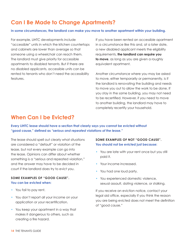# **Can I Be Made to Change Apartments?**

#### **In some circumstances, the landlord can make you move to another apartment within your building.**

For example, LIHTC developments include "accessible" units in which the kitchen countertops and cabinets are lower than average so that someone using a wheelchair can reach them. The landlord must give priority for accessible apartments to disabled tenants. But if there are no disabled applicants, accessible units can be rented to tenants who don't need the accessibility features.

If you have been rented an accessible apartment in a circumstance like this and, at a later date, a new disabled applicant meets the eligibility requirements, **the landlord can require you to move**, as long as you are given a roughly equivalent apartment.

Another circumstance where you may be asked to move, either temporarily or permanently, is if the landlord is renovating the building and needs to move you out to allow the work to be done. If you stay in the same building, you may not need to be recertified. However, if you need to move to another building, the landlord may have to completely recertify your household.

## **When Can I be Evicted?**

**Every LIHTC lease should have a section that clearly says you cannot be evicted without "good cause," defined as** *"serious and repeated violations of the lease."* 

The lease should spell out clearly what situations are considered a "default" or violation of the lease, but not every example can go into the lease. Opinions can differ about whether something is a "serious and repeated violation," and the answer may have to be decided in court if the landlord does try to evict you.

#### **SOME EXAMPLES OF "GOOD CAUSE". You can be evicted when:**

- You fail to pay rent.
- You don't report all your income on your application or your recertification.
- You keep your apartment in a way that makes it dangerous to others, such as creating a fire hazard.

#### **SOME EXAMPLES OF NOT "GOOD CAUSE". You should not be evicted just because:**

- You are late with your rent once but you still paid it.
- Your income increased.
- You had one loud party.
- You experienced domestic violence, sexual assault, dating violence, or stalking.

If you receive an eviction notice, contact your legal aid office, especially if you think the reason you are being evicted does not meet the definition of "good cause."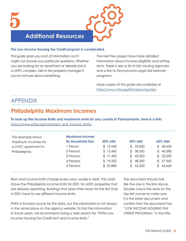# **Additional Resources**

#### **The Low-Income Housing Tax Credit program is complicated.**

This guide gives you a lot of information, but it might not answer your particular questions. Whether you are looking for an apartment or already live in a LIHTC complex, talk to the property manager if you're not sure about something.

The next few pages have more detailed information about income eligibility and setting rents. There is also a list of fair housing agencies and a link to Pennsylvania Legal Aid Network programs.

More copies of this guide are available at <https://www.rhls.org/lihtctenantguide/>.

## APPENDIX

# **Philadelphia Maximum Incomes**

**To look up the income limits and maximum rents for any county in Pennsylvania, here is a link:**  [https://www.phfa.org/mhp/rent\\_and\\_income\\_limits/](https://www.phfa.org/mhp/rent_and_income_limits/)

| This example shows<br>maximum incomes for | <b>Maximum Income</b><br><b>By Household Size</b> | <b>20% AMI</b> | <b>50% AMI</b> | <b>60% AMI</b>          |
|-------------------------------------------|---------------------------------------------------|----------------|----------------|-------------------------|
| a LIHTC apartment in                      | 1 Person                                          | \$13,540       | \$33,850       | 40,620                  |
| Philadelphia.                             | 2 Persons                                         | \$15,460       | \$38,650       | 46,380<br>$\mathcal{F}$ |
|                                           | 3 Persons                                         | \$17,400       | 43,500<br>\$   | \$52,200                |
|                                           | 4 Persons                                         | \$19,320       | 48,300<br>\$   | \$57,960                |
|                                           | 5 Persons                                         | \$20,880       | \$52,200       | 62,640                  |

Rent and income limits change every year, usually in April. This chart shows the Philadelphia income limits for 2021 for LIHTC properties that are already operating. Buildings that open their doors for the first time in 2021 have to use different income limits.

PHFA is the best source for this data, but the information is not always in the same place on the agency website. To find the information in future years, we recommend doing a web search for "PHFA Low Income Housing Tax Credit rent and income limits."

The document should look like the one in the link above. Double check the date on the top left corner to make sure it is the latest document and confirm that the document has "LOW INCOME HOUSING TAX CREDIT PROGRAM," in the title.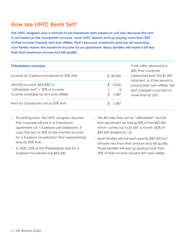# **How are LIHTC Rents Set?**

**The LIHTC program uses a formula to set maximum rents based on unit size. Because the rent is not based on the household's income, most LIHTC tenants end up paying more than 30% of their income towards rent and utilities. That's because maximum rents are set assuming your family makes the maximum income for an apartment. Many families will make a bit less than that maximum income but still qualify.** 

| <b>Philadelphia example:</b>              |   |          |
|-------------------------------------------|---|----------|
| Income for 3-person household at 50% AMI: |   | \$43,500 |
| Monthly income: \$43,500/12               |   | 3,625    |
| "affordable rent" = 30% of income         | X | .3       |
| Income gyailable for rent and utilities   |   | 1.087    |
| Rent for 2-bedroom unit at 50% AMI        |   |          |

If the utility allowance is \$50, that would be subtracted from the \$1,087 total rent, so if the tenant is paying their own utilities, the rent charged could be no more than \$1,037.

- For setting rents, the LIHTC program assumes that 3 people will live in a 2-bedroom apartment (or 1.5 persons per bedroom). It caps the rent at 30% of the monthly income for a 3-person household in that area earning exactly 50% AMI.
- In 2020, 50% of the Philadelphia AMI for a 3-person household was \$43,500.
- The IRS rules then set an "affordable" rent for that apartment by taking 30% of the \$43,500, which comes out to \$1,087 a month (30% of \$43,500 divided by 12).
- Most families will not earn exactly \$43,500 but will earn less than that amount and still qualify. Those families will end up paying more than 30% of their income toward rent and utilities.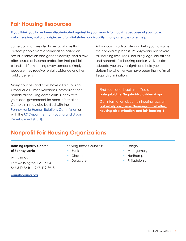# **Fair Housing Resources**

**If you think you have been discriminated against in your search for housing because of your race, color, religion, national origin, sex, familial status, or disability, many agencies offer help.** 

Some communities also have local laws that protect people from discrimination based on sexual orientation and gender identity, and a few offer source of income protection that prohibit a landlord from turning away someone simply because they receive rental assistance or other public benefits.

Many counties and cities have a Fair Housing Officer or a Human Relations Commission that handle fair housing complaints. Check with your local government for more information. Complaints may also be filed with the [Pennsylvania Human Relations Commission](https://www.phrc.pa.gov/File-a-Compliant/Pages/default.aspx) or with the [US Department of Housing and Urban](https://www.hud.gov/program_offices/fair_housing_equal_opp/online-complaint)  [Development \(HUD\)](https://www.hud.gov/program_offices/fair_housing_equal_opp/online-complaint).

A fair-housing advocate can help you navigate the complaint process. Pennsylvania has several fair housing resources, including legal aid offices and nonprofit fair housing centers. Advocates educate you on your rights and help you determine whether you have been the victim of illegal discrimination.

Find your local legal aid office at **[palegalaid.net/legal-aid-providers-in-pa](http://palegalaid.net/legal-aid-providers-in-pa)**

Get information about fair housing laws at **[palawhelp.org/issues/housing-and-shelter/](https://www.palawhelp.org/) [housing-discrimination-and fair-housing-1](https://www.palawhelp.org/)**

# **Nonprofit Fair Housing Organizations**

### **Housing Equality Center of Pennsylvania**

PO BOX 558 Fort Washington, PA 19034 866-540-FAIR | 267-419-8918

**[equalhousing.org](http://equalhousing.org)**

#### Serving these Counties:

- **Bucks**
- **Chester**
- Delaware
- Lehigh
- **Montgomery**
- Northampton
- Philadelphia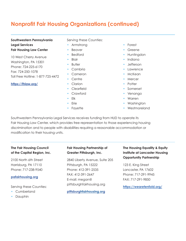# **Nonprofit Fair Housing Organizations (continued)**

#### **Southwestern Pennsylvania Legal Services Fair Housing Law Center**

10 West Cherry Avenue Washington, PA 15301 Phone: 724-225-6170 Fax: 724-250-1078 Toll Free Hotline: 1-877-725-4472

#### **<https://fhlaw.org/>**

Serving these Counties:

- Armstrong
- **Beaver**
- Bedford
- **Blair**
- Butler
- Cambria
- Cameron
- Centre
- Clarion
- Clearfield
- Crawford
- Elk
- Erie
- Fayette

#### • Forest

- Greene
- Huntingdon
- Indiana
- Jefferson
- Lawrence
- McKean
- Mercer
- Potter
- Somerset
- Venango
- Warren
- Washington
- Westmoreland

Southwestern Pennsylvania Legal Services receives funding from HUD to operate its Fair Housing Law Center, which provides free representation to those experiencing housing discrimination and to people with disabilities requiring a reasonable accommodation or modification to their housing units.

### **The Fair Housing Council of the Capital Region, Inc.**

2100 North 6th Street Harrisburg, PA 17110 Phone: 717-238-9540

#### **[pafairhousing.org](http://pafairhousing.org )**

Serving these Counties:

- Cumberland
- Dauphin

## **Fair Housing Partnership of Greater Pittsburgh, Inc.**

2840 Liberty Avenue, Suite 205 Pittsburgh, PA 15222 Phone: 412-391-2535 FAX: 412-391-2647 E-mail: megan@ pittsburghfairhousing.org

**[pittsburghfairhousing.org](http://pittsburghfairhousing.org)**

## **The Housing Equality & Equity Institute at Lancaster Housing Opportunity Partnership**

123 E. King Street Lancaster, PA 17602 Phone: 717-291-9945 FAX: 717-291-9850

**<https://wearetenfold.org/>**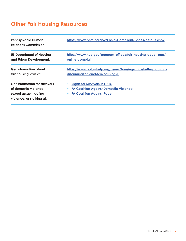# **Other Fair Housing Resources**

| Pennsylvania Human<br><b>Relations Commission:</b>                                                                   | https://www.phrc.pa.gov/File-a-Compliant/Pages/default.aspx                                                               |
|----------------------------------------------------------------------------------------------------------------------|---------------------------------------------------------------------------------------------------------------------------|
| <b>US Department of Housing</b>                                                                                      | https://www.hud.gov/program_offices/fair_housing_equal_opp/                                                               |
| and Urban Development:                                                                                               | online-complaint                                                                                                          |
| Get information about                                                                                                | https://www.palawhelp.org/issues/housing-and-shelter/housing-                                                             |
| fair housing laws at:                                                                                                | discrimination-and-fair-housing-1                                                                                         |
| <b>Get information for survivors</b><br>of domestic violence,<br>sexual assault, dating<br>violence, or stalking at: | <b>Rights for Survivors in LIHTC</b><br><b>PA Coalition Against Domestic Violence</b><br><b>PA Coalition Against Rape</b> |